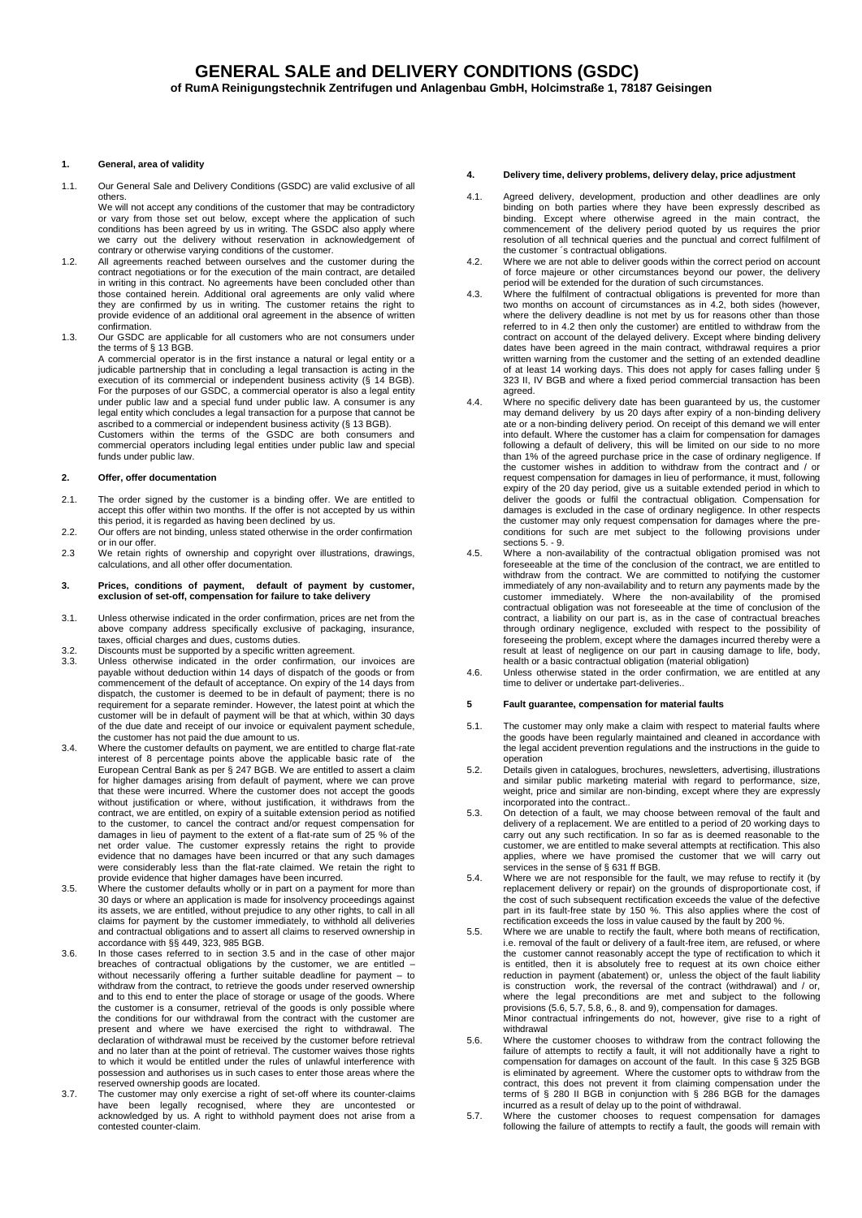## **1. General, area of validity**

1.1. Our General Sale and Delivery Conditions (GSDC) are valid exclusive of all others.

We will not accept any conditions of the customer that may be contradictory or vary from those set out below, except where the application of such conditions has been agreed by us in writing. The GSDC also apply where we carry out the delivery without reservation in acknowledgement of contrary or otherwise varying conditions of the customer.

- 1.2. All agreements reached between ourselves and the customer during the contract negotiations or for the execution of the main contract, are detailed in writing in this contract. No agreements have been concluded other than those contained herein. Additional oral agreements are only valid where they are confirmed by us in writing. The customer retains the right to provide evidence of an additional oral agreement in the absence of written confirmation.
- 1.3. Our GSDC are applicable for all customers who are not consumers under the terms of § 13 BGB. A commercial operator is in the first instance a natural or legal entity or a

judicable partnership that in concluding a legal transaction is acting in the execution of its commercial or independent business activity (§ 14 BGB).<br>For the purposes of our GSDC, a commercial operator is also a legal entity<br>under public law and a special fund under public law. A consumer is any legal entity which concludes a legal transaction for a purpose that cannot be ascribed to a commercial or independent business activity (§ 13 BGB). Customers within the terms of the GSDC are both consumers and

commercial operators including legal entities under public law and special funds under public law.

## **2. Offer, offer documentation**

- 2.1. The order signed by the customer is a binding offer. We are entitled to accept this offer within two months. If the offer is not accepted by us within this period, it is regarded as having been declined by us.
- 2.2. Our offers are not binding, unless stated otherwise in the order confirmation or in our offer. 2.3 We retain rights of ownership and copyright over illustrations, drawings,
- calculations, and all other offer documentation.
- **3. Prices, conditions of payment, default of payment by customer, exclusion of set-off, compensation for failure to take delivery**
- 3.1. Unless otherwise indicated in the order confirmation, prices are net from the above company address specifically exclusive of packaging, insurance, taxes, official charges and dues, customs duties.
- 
- 3.2. Discounts must be supported by a specific written agreement. 3.3. Unless otherwise indicated in the order confirmation, our invoices are payable without deduction within 14 days of dispatch of the goods or from commencement of the default of acceptance. On expiry of the 14 days from dispatch, the customer is deemed to be in default of payment; there is no requirement for a separate reminder. However, the latest point at which the customer will be in default of payment will be that at which, within 30 days of the due date and receipt of our invoice or equivalent payment schedule,
- the customer has not paid the due amount to us. 3.4. Where the customer defaults on payment, we are entitled to charge flat-rate interest of 8 percentage points above the applicable basic rate of the European Central Bank as per § 247 BGB. We are entitled to assert a claim for higher damages arising from default of payment, where we can prove that these were incurred. Where the customer does not accept the goods without justification or where, without justification, it withdraws from the contract, we are entitled, on expiry of a suitable extension period as notified to the customer, to cancel the contract and/or request compensation for damages in lieu of payment to the extent of a flat-rate sum of 25 % of the net order value. The customer expressly retains the right to provide evidence that no damages have been incurred or that any such damages were considerably less than the flat-rate claimed. We retain the right to
- provide evidence that higher damages have been incurred. 3.5. Where the customer defaults wholly or in part on a payment for more than 30 days or where an application is made for insolvency proceedings against its assets, we are entitled, without prejudice to any other rights, to call in all claims for payment by the customer immediately, to withhold all deliveries and contractual obligations and to assert all claims to reserved ownership in accordance with §§ 449, 323, 985 BGB.
- 3.6. In those cases referred to in section 3.5 and in the case of other major breaches of contractual obligations by the customer, we are entitled – without necessarily offering a further suitable deadline for payment – to withdraw from the contract, to retrieve the goods under reserved ownership and to this end to enter the place of storage or usage of the goods. Where the customer is a consumer, retrieval of the goods is only possible where the conditions for our withdrawal from the contract with the customer are present and where we have exercised the right to withdrawal. The declaration of withdrawal must be received by the customer before retrieval and no later than at the point of retrieval. The customer waives those rights to which it would be entitled under the rules of unlawful interference with possession and authorises us in such cases to enter those areas where the reserved ownership goods are located.
- 3.7. The customer may only exercise a right of set-off where its counter-claims have been legally recognised, where they are uncontested or acknowledged by us. A right to withhold payment does not arise from a contested counter-claim.

## **4. Delivery time, delivery problems, delivery delay, price adjustment**

- 4.1. Agreed delivery, development, production and other deadlines are only binding on both parties where they have been expressly described as binding. Except where otherwise agreed in the main contract, the commencement of the delivery period quoted by us requires the prior resolution of all technical queries and the punctual and correct fulfilment of the customer ´s contractual obligations.
- 4.2. Where we are not able to deliver goods within the correct period on account of force majeure or other circumstances beyond our power, the delivery
- period will be extended for the duration of such circumstances. 4.3. Where the fulfilment of contractual obligations is prevented for more than two months on account of circumstances as in 4.2, both sides (however, where the delivery deadline is not met by us for reasons other than those referred to in 4.2 then only the customer) are entitled to withdraw from the contract on account of the delayed delivery. Except where binding delivery dates have been agreed in the main contract, withdrawal requires a prior written warning from the customer and the setting of an extended deadline of at least 14 working days. This does not apply for cases falling under § 323 II, IV BGB and where a fixed period commercial transaction has been agreed.
- 4.4. Where no specific delivery date has been guaranteed by us, the customer may demand delivery by us 20 days after expiry of a non-binding delivery<br>ate or a non-binding delivery period. On receipt of this demand we will enter<br>into default. Where the customer has a claim for compensation for damag following a default of delivery, this will be limited on our side to no more than 1% of the agreed purchase price in the case of ordinary negligence. If the customer wishes in addition to withdraw from the contract and / or request compensation for damages in lieu of performance, it must, following expiry of the 20 day period, give us a suitable extended period in which to deliver the goods or fulfil the contractual obligation. Compensation for damages is excluded in the case of ordinary negligence. In other respects the customer may only request compensation for damages where the pre-conditions for such are met subject to the following provisions under sections 5 - 9
- 4.5. Where a non-availability of the contractual obligation promised was not foreseeable at the time of the conclusion of the contract, we are entitled to withdraw from the contract. We are committed to notifying the customer immediately of any non-availability and to return any payments made by the customer immediately. Where the non-availability of the promised contractual obligation was not foreseeable at the time of conclusion of the contract, a liability on our part is, as in the case of contractual breaches through ordinary negligence, excluded with respect to the possibility of foreseeing the problem, except where the damages incurred thereby were a result at least of negligence on our part in causing damage to life, body, health or a basic contractual obligation (material obligation)
- 4.6. Unless otherwise stated in the order confirmation, we are entitled at any time to deliver or undertake part-deliveries..

# **5 Fault guarantee, compensation for material faults**

- 5.1. The customer may only make a claim with respect to material faults where the goods have been regularly maintained and cleaned in accordance with the legal accident prevention regulations and the instructions in the guide to operation
- 5.2. Details given in catalogues, brochures, newsletters, advertising, illustrations and similar public marketing material with regard to performance, size, weight, price and similar are non-binding, except where they are expressly incorporated into the contract..
- 5.3. On detection of a fault, we may choose between removal of the fault and delivery of a replacement. We are entitled to a period of 20 working days to carry out any such rectification. In so far as is deemed reasonable to the customer, we are entitled to make several attempts at rectification. This also applies, where we have promised the customer that we will carry out
- services in the sense of § 631 ff BGB.<br>5.4. Where we are not responsible for the fault, we may refuse to rectify it (by<br>replacement delivery or repair) on the grounds of disproportionate cost, if the cost of such subsequent rectification exceeds the value of the defective part in its fault-free state by 150 %. This also applies where the cost of rectification exceeds the loss in value caused by the fault by 200 %.
- 5.5. Where we are unable to rectify the fault, where both means of rectification, i.e. removal of the fault or delivery of a fault-free item, are refused, or where the customer cannot reasonably accept the type of rectification to which it is entitled, then it is absolutely free to request at its own choice either reduction in payment (abatement) or, unless the object of the fault liability is construction work, the reversal of the contract (withdrawal) and / or, where the legal preconditions are met and subject to the following provisions (5.6, 5.7, 5.8, 6., 8. and 9), compensation for damages. Minor contractual infringements do not, however, give rise to a right of withdrawal
- 5.6. Where the customer chooses to withdraw from the contract following the failure of attempts to rectify a fault, it will not additionally have a right to compensation for damages on account of the fault. In this case § 325 BGB is eliminated by agreement. Where the customer opts to withdraw from the contract, this does not prevent it from claiming compensation under the terms of § 280 II BGB in conjunction with § 286 BGB for the damages incurred as a result of delay up to the point of withdrawal.
- 5.7. Where the customer chooses to request compensation for damages following the failure of attempts to rectify a fault, the goods will remain with